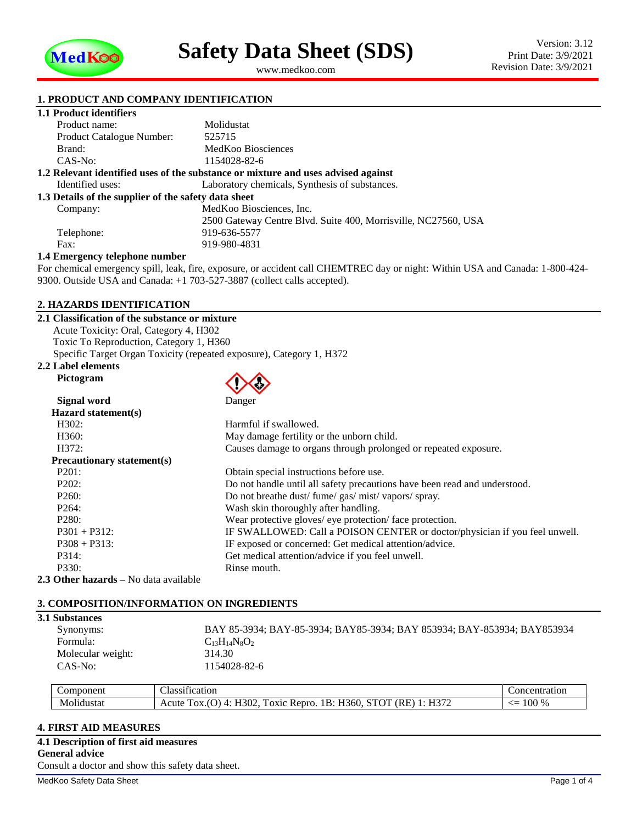

<span id="page-0-1"></span><span id="page-0-0"></span>www.medkoo.com

### **1. PRODUCT AND COMPANY IDENTIFICATION**

# **1.1 Product identifiers**

| Product name:                                                                     | Molidustat                                                     |  |  |  |
|-----------------------------------------------------------------------------------|----------------------------------------------------------------|--|--|--|
| Product Catalogue Number:                                                         | 525715                                                         |  |  |  |
| Brand:                                                                            | MedKoo Biosciences                                             |  |  |  |
| $CAS-No:$                                                                         | 1154028-82-6                                                   |  |  |  |
| 1.2 Relevant identified uses of the substance or mixture and uses advised against |                                                                |  |  |  |
| Identified uses:                                                                  | Laboratory chemicals, Synthesis of substances.                 |  |  |  |
| 1.3 Details of the supplier of the safety data sheet                              |                                                                |  |  |  |
| Company:                                                                          | MedKoo Biosciences, Inc.                                       |  |  |  |
|                                                                                   | 2500 Gateway Centre Blvd. Suite 400, Morrisville, NC27560, USA |  |  |  |
| Telephone:                                                                        | 919-636-5577                                                   |  |  |  |
| Fax:                                                                              | 919-980-4831                                                   |  |  |  |
| 1.4 Emergency telephone number                                                    |                                                                |  |  |  |

For chemical emergency spill, leak, fire, exposure, or accident call CHEMTREC day or night: Within USA and Canada: 1-800-424- 9300. Outside USA and Canada: +1 703-527-3887 (collect calls accepted).

#### **2. HAZARDS IDENTIFICATION**

#### **2.1 Classification of the substance or mixture**

Acute Toxicity: Oral, Category 4, H302 Toxic To Reproduction, Category 1, H360 Specific Target Organ Toxicity (repeated exposure), Category 1, H372

## **2.2 Label elements**

**Pictogram**

| Signal word                                  | Danger                                                                     |  |  |  |
|----------------------------------------------|----------------------------------------------------------------------------|--|--|--|
| Hazard statement(s)                          |                                                                            |  |  |  |
| H302:                                        | Harmful if swallowed.                                                      |  |  |  |
| H360:                                        | May damage fertility or the unborn child.                                  |  |  |  |
| H372:                                        | Causes damage to organs through prolonged or repeated exposure.            |  |  |  |
| <b>Precautionary statement(s)</b>            |                                                                            |  |  |  |
| P201:                                        | Obtain special instructions before use.                                    |  |  |  |
| P202:                                        | Do not handle until all safety precautions have been read and understood.  |  |  |  |
| P260:                                        | Do not breathe dust/ fume/ gas/ mist/ vapors/ spray.                       |  |  |  |
| P264:                                        | Wash skin thoroughly after handling.                                       |  |  |  |
| P280:                                        | Wear protective gloves/ eye protection/ face protection.                   |  |  |  |
| $P301 + P312$ :                              | IF SWALLOWED: Call a POISON CENTER or doctor/physician if you feel unwell. |  |  |  |
| $P308 + P313$ :                              | IF exposed or concerned: Get medical attention/advice.                     |  |  |  |
| P314:                                        | Get medical attention/advice if you feel unwell.                           |  |  |  |
| P330:                                        | Rinse mouth.                                                               |  |  |  |
| <b>2.3 Other hazards</b> – No data available |                                                                            |  |  |  |

### **3. COMPOSITION/INFORMATION ON INGREDIENTS**

## **3.1 Substances**

| BAY 85-3934; BAY-85-3934; BAY85-3934; BAY 853934; BAY-853934; BAY853934 |
|-------------------------------------------------------------------------|
|                                                                         |
|                                                                         |
|                                                                         |
|                                                                         |

| Component                    | . .<br>$\sim$<br>tcation<br>⊿lassı†•<br>81 H K                                                                                           | concentration                 |
|------------------------------|------------------------------------------------------------------------------------------------------------------------------------------|-------------------------------|
| $\cdot$<br>. .<br>Molidustat | TT<br>(RE<br>$\sim$<br>$\sim$ $\sim$<br>-1302 -<br>$\sim$<br>B:<br>OX1C<br>Acute<br>Н.<br>Repro<br>OX.<br>`10U.<br>.<br>$\sim$<br>11.372 | 100<br>%<br>╱┈<br><u>- - </u> |

## **4. FIRST AID MEASURES**

**4.1 Description of first aid measures General advice** Consult a doctor and show this safety data sheet.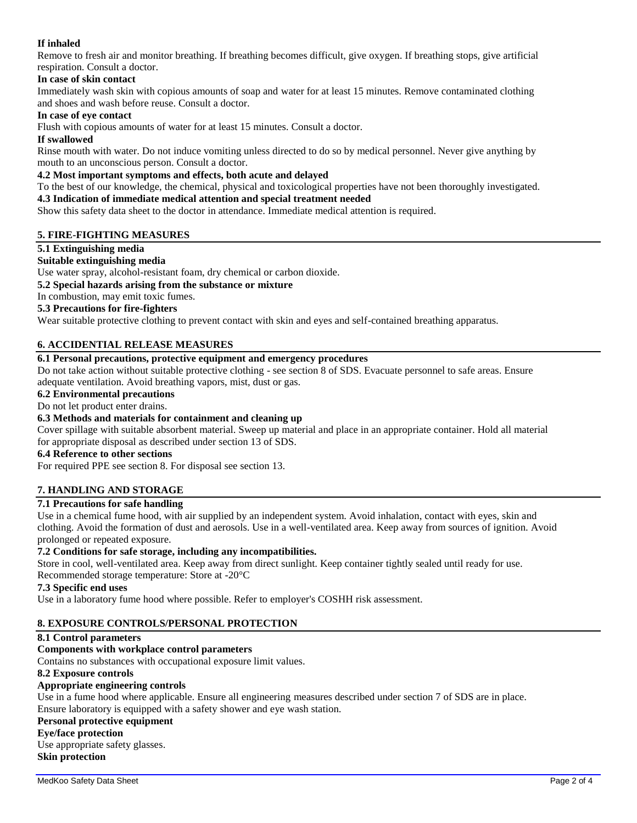# **If inhaled**

Remove to fresh air and monitor breathing. If breathing becomes difficult, give oxygen. If breathing stops, give artificial respiration. Consult a doctor.

## **In case of skin contact**

Immediately wash skin with copious amounts of soap and water for at least 15 minutes. Remove contaminated clothing and shoes and wash before reuse. Consult a doctor.

## **In case of eye contact**

Flush with copious amounts of water for at least 15 minutes. Consult a doctor.

### **If swallowed**

Rinse mouth with water. Do not induce vomiting unless directed to do so by medical personnel. Never give anything by mouth to an unconscious person. Consult a doctor.

# **4.2 Most important symptoms and effects, both acute and delayed**

To the best of our knowledge, the chemical, physical and toxicological properties have not been thoroughly investigated.

# **4.3 Indication of immediate medical attention and special treatment needed**

Show this safety data sheet to the doctor in attendance. Immediate medical attention is required.

## **5. FIRE-FIGHTING MEASURES**

## **5.1 Extinguishing media**

## **Suitable extinguishing media**

Use water spray, alcohol-resistant foam, dry chemical or carbon dioxide.

## **5.2 Special hazards arising from the substance or mixture**

In combustion, may emit toxic fumes.

## **5.3 Precautions for fire-fighters**

Wear suitable protective clothing to prevent contact with skin and eyes and self-contained breathing apparatus.

## **6. ACCIDENTIAL RELEASE MEASURES**

# **6.1 Personal precautions, protective equipment and emergency procedures**

Do not take action without suitable protective clothing - see section 8 of SDS. Evacuate personnel to safe areas. Ensure adequate ventilation. Avoid breathing vapors, mist, dust or gas.

## **6.2 Environmental precautions**

#### Do not let product enter drains.

## **6.3 Methods and materials for containment and cleaning up**

Cover spillage with suitable absorbent material. Sweep up material and place in an appropriate container. Hold all material for appropriate disposal as described under section 13 of SDS.

## **6.4 Reference to other sections**

For required PPE see section 8. For disposal see section 13.

## **7. HANDLING AND STORAGE**

# **7.1 Precautions for safe handling**

Use in a chemical fume hood, with air supplied by an independent system. Avoid inhalation, contact with eyes, skin and clothing. Avoid the formation of dust and aerosols. Use in a well-ventilated area. Keep away from sources of ignition. Avoid prolonged or repeated exposure.

## **7.2 Conditions for safe storage, including any incompatibilities.**

Store in cool, well-ventilated area. Keep away from direct sunlight. Keep container tightly sealed until ready for use. Recommended storage temperature: Store at -20°C

#### **7.3 Specific end uses**

Use in a laboratory fume hood where possible. Refer to employer's COSHH risk assessment.

## **8. EXPOSURE CONTROLS/PERSONAL PROTECTION**

#### **8.1 Control parameters**

## **Components with workplace control parameters**

Contains no substances with occupational exposure limit values.

#### **8.2 Exposure controls**

## **Appropriate engineering controls**

Use in a fume hood where applicable. Ensure all engineering measures described under section 7 of SDS are in place. Ensure laboratory is equipped with a safety shower and eye wash station.

#### **Personal protective equipment**

## **Eye/face protection**

Use appropriate safety glasses. **Skin protection**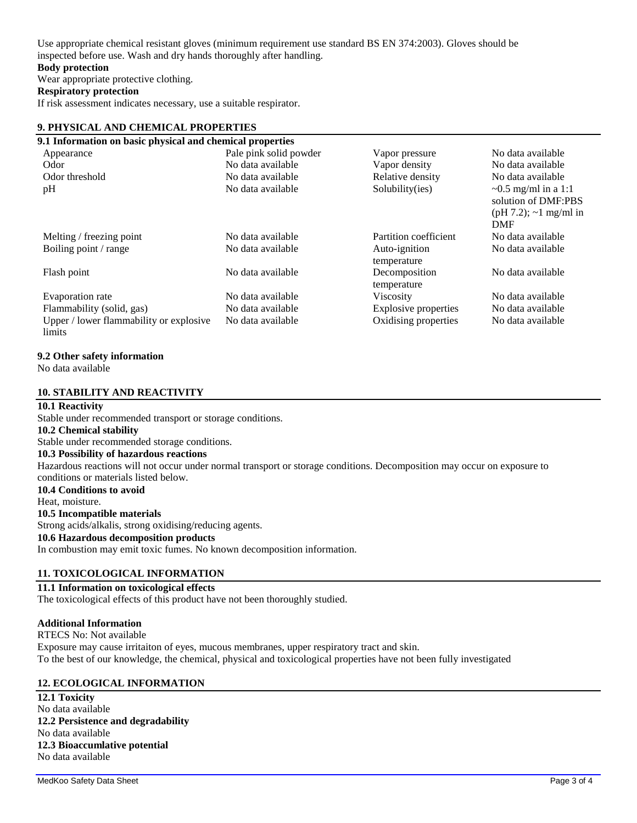Use appropriate chemical resistant gloves (minimum requirement use standard BS EN 374:2003). Gloves should be inspected before use. Wash and dry hands thoroughly after handling.

#### **Body protection**

Wear appropriate protective clothing.

#### **Respiratory protection**

If risk assessment indicates necessary, use a suitable respirator.

#### **9. PHYSICAL AND CHEMICAL PROPERTIES**

| 9.1 Information on basic physical and chemical properties |                        |                              |                                                                                     |
|-----------------------------------------------------------|------------------------|------------------------------|-------------------------------------------------------------------------------------|
| Appearance                                                | Pale pink solid powder | Vapor pressure               | No data available                                                                   |
| Odor                                                      | No data available      | Vapor density                | No data available                                                                   |
| Odor threshold                                            | No data available      | Relative density             | No data available                                                                   |
| pH                                                        | No data available      | Solubility(ies)              | $\sim 0.5$ mg/ml in a 1:1<br>solution of DMF:PBS<br>$(pH 7.2)$ ; ~1 mg/ml in<br>DMF |
| Melting / freezing point                                  | No data available      | Partition coefficient        | No data available                                                                   |
| Boiling point / range                                     | No data available      | Auto-ignition<br>temperature | No data available                                                                   |
| Flash point                                               | No data available      | Decomposition<br>temperature | No data available                                                                   |
| Evaporation rate                                          | No data available      | <b>Viscosity</b>             | No data available                                                                   |
| Flammability (solid, gas)                                 | No data available      | Explosive properties         | No data available                                                                   |
| Upper / lower flammability or explosive<br>limits         | No data available      | Oxidising properties         | No data available                                                                   |

#### **9.2 Other safety information**

No data available

#### **10. STABILITY AND REACTIVITY**

#### **10.1 Reactivity**

Stable under recommended transport or storage conditions. **10.2 Chemical stability** Stable under recommended storage conditions. **10.3 Possibility of hazardous reactions** Hazardous reactions will not occur under normal transport or storage conditions. Decomposition may occur on exposure to conditions or materials listed below. **10.4 Conditions to avoid** Heat, moisture. **10.5 Incompatible materials** Strong acids/alkalis, strong oxidising/reducing agents.

**10.6 Hazardous decomposition products** In combustion may emit toxic fumes. No known decomposition information.

#### **11. TOXICOLOGICAL INFORMATION**

#### **11.1 Information on toxicological effects**

The toxicological effects of this product have not been thoroughly studied.

#### **Additional Information**

RTECS No: Not available Exposure may cause irritaiton of eyes, mucous membranes, upper respiratory tract and skin. To the best of our knowledge, the chemical, physical and toxicological properties have not been fully investigated

#### **12. ECOLOGICAL INFORMATION**

**12.1 Toxicity** No data available **12.2 Persistence and degradability** No data available **12.3 Bioaccumlative potential** No data available